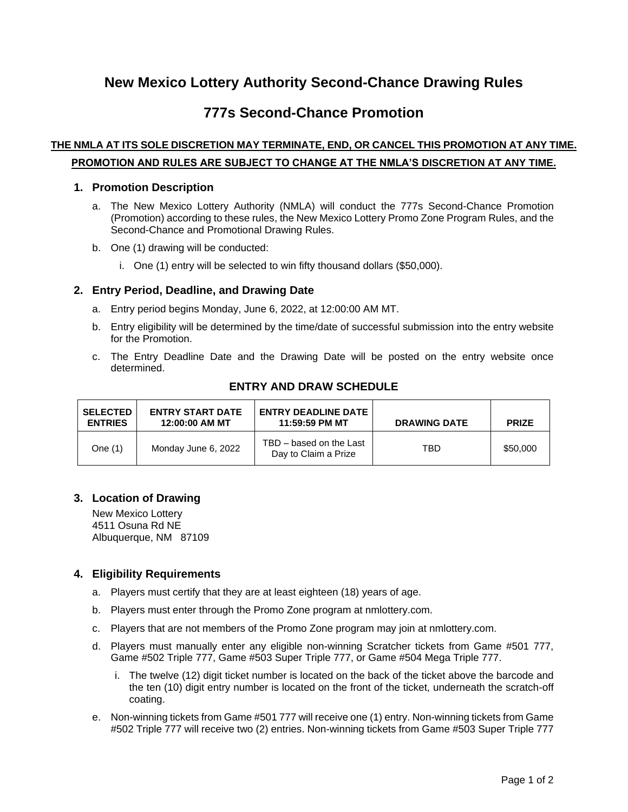# **New Mexico Lottery Authority Second-Chance Drawing Rules**

## **777s Second-Chance Promotion**

### **THE NMLA AT ITS SOLE DISCRETION MAY TERMINATE, END, OR CANCEL THIS PROMOTION AT ANY TIME. PROMOTION AND RULES ARE SUBJECT TO CHANGE AT THE NMLA'S DISCRETION AT ANY TIME.**

#### **1. Promotion Description**

- a. The New Mexico Lottery Authority (NMLA) will conduct the 777s Second-Chance Promotion (Promotion) according to these rules, the New Mexico Lottery Promo Zone Program Rules, and the Second-Chance and Promotional Drawing Rules.
- b. One (1) drawing will be conducted:
	- i. One (1) entry will be selected to win fifty thousand dollars (\$50,000).

### **2. Entry Period, Deadline, and Drawing Date**

- a. Entry period begins Monday, June 6, 2022, at 12:00:00 AM MT.
- b. Entry eligibility will be determined by the time/date of successful submission into the entry website for the Promotion.
- c. The Entry Deadline Date and the Drawing Date will be posted on the entry website once determined.

| <b>SELECTED</b><br><b>ENTRIES</b> | <b>ENTRY START DATE</b><br>12:00:00 AM MT | <b>ENTRY DEADLINE DATE</b><br>11:59:59 PM MT    | <b>DRAWING DATE</b> | <b>PRIZE</b> |
|-----------------------------------|-------------------------------------------|-------------------------------------------------|---------------------|--------------|
| One $(1)$                         | Monday June 6, 2022                       | TBD - based on the Last<br>Day to Claim a Prize | TBD                 | \$50,000     |

### **ENTRY AND DRAW SCHEDULE**

### **3. Location of Drawing**

New Mexico Lottery 4511 Osuna Rd NE Albuquerque, NM 87109

### **4. Eligibility Requirements**

- a. Players must certify that they are at least eighteen (18) years of age.
- b. Players must enter through the Promo Zone program at nmlottery.com.
- c. Players that are not members of the Promo Zone program may join at nmlottery.com.
- d. Players must manually enter any eligible non-winning Scratcher tickets from Game #501 777, Game #502 Triple 777, Game #503 Super Triple 777, or Game #504 Mega Triple 777.
	- i. The twelve (12) digit ticket number is located on the back of the ticket above the barcode and the ten (10) digit entry number is located on the front of the ticket, underneath the scratch-off coating.
- e. Non-winning tickets from Game #501 777 will receive one (1) entry. Non-winning tickets from Game #502 Triple 777 will receive two (2) entries. Non-winning tickets from Game #503 Super Triple 777